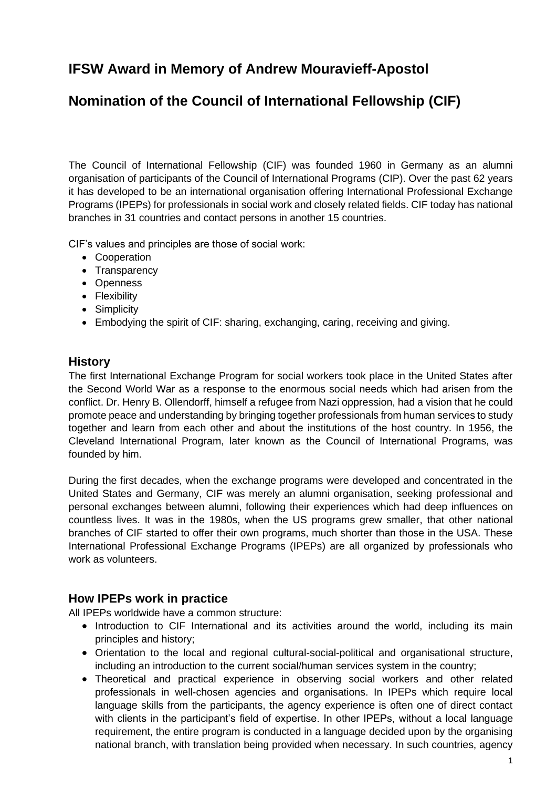# **IFSW Award in Memory of Andrew Mouravieff-Apostol**

# **Nomination of the Council of International Fellowship (CIF)**

The Council of International Fellowship (CIF) was founded 1960 in Germany as an alumni organisation of participants of the Council of International Programs (CIP). Over the past 62 years it has developed to be an international organisation offering International Professional Exchange Programs (IPEPs) for professionals in social work and closely related fields. CIF today has national branches in 31 countries and contact persons in another 15 countries.

CIF's values and principles are those of social work:

- Cooperation
- Transparency
- Openness
- Flexibility
- Simplicity
- Embodying the spirit of CIF: sharing, exchanging, caring, receiving and giving.

#### **History**

The first International Exchange Program for social workers took place in the United States after the Second World War as a response to the enormous social needs which had arisen from the conflict. Dr. Henry B. Ollendorff, himself a refugee from Nazi oppression, had a vision that he could promote peace and understanding by bringing together professionals from human services to study together and learn from each other and about the institutions of the host country. In 1956, the Cleveland International Program, later known as the Council of International Programs, was founded by him.

During the first decades, when the exchange programs were developed and concentrated in the United States and Germany, CIF was merely an alumni organisation, seeking professional and personal exchanges between alumni, following their experiences which had deep influences on countless lives. It was in the 1980s, when the US programs grew smaller, that other national branches of CIF started to offer their own programs, much shorter than those in the USA. These International Professional Exchange Programs (IPEPs) are all organized by professionals who work as volunteers.

# **How IPEPs work in practice**

All IPEPs worldwide have a common structure:

- Introduction to CIF International and its activities around the world, including its main principles and history;
- Orientation to the local and regional cultural-social-political and organisational structure, including an introduction to the current social/human services system in the country;
- Theoretical and practical experience in observing social workers and other related professionals in well-chosen agencies and organisations. In IPEPs which require local language skills from the participants, the agency experience is often one of direct contact with clients in the participant's field of expertise. In other IPEPs, without a local language requirement, the entire program is conducted in a language decided upon by the organising national branch, with translation being provided when necessary. In such countries, agency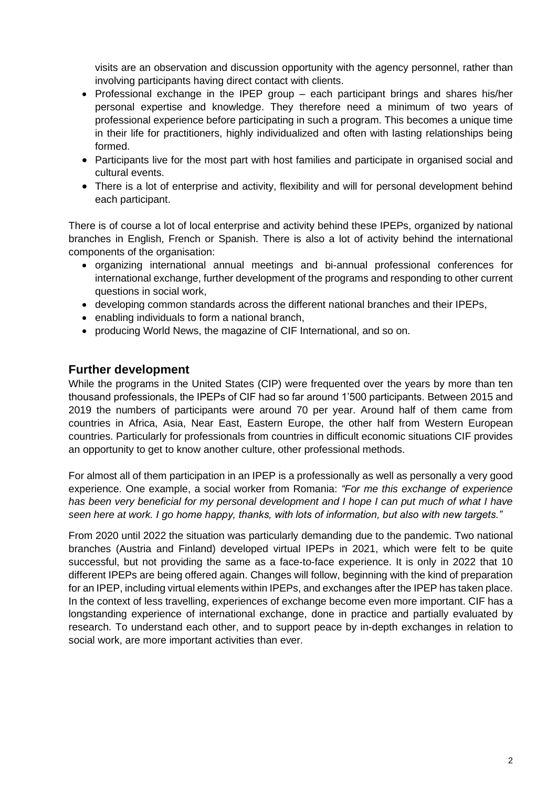visits are an observation and discussion opportunity with the agency personnel, rather than involving participants having direct contact with clients.

- Professional exchange in the IPEP group each participant brings and shares his/her personal expertise and knowledge. They therefore need a minimum of two years of professional experience before participating in such a program. This becomes a unique time in their life for practitioners, highly individualized and often with lasting relationships being formed.
- Participants live for the most part with host families and participate in organised social and cultural events.
- There is a lot of enterprise and activity, flexibility and will for personal development behind each participant.

There is of course a lot of local enterprise and activity behind these IPEPs, organized by national branches in English, French or Spanish. There is also a lot of activity behind the international components of the organisation:

- organizing international annual meetings and bi-annual professional conferences for international exchange, further development of the programs and responding to other current questions in social work,
- developing common standards across the different national branches and their IPEPs,
- enabling individuals to form a national branch,
- producing World News, the magazine of CIF International, and so on.

## **Further development**

While the programs in the United States (CIP) were frequented over the years by more than ten thousand professionals, the IPEPs of CIF had so far around 1'500 participants. Between 2015 and 2019 the numbers of participants were around 70 per year. Around half of them came from countries in Africa, Asia, Near East, Eastern Europe, the other half from Western European countries. Particularly for professionals from countries in difficult economic situations CIF provides an opportunity to get to know another culture, other professional methods.

For almost all of them participation in an IPEP is a professionally as well as personally a very good experience. One example, a social worker from Romania: *"For me this exchange of experience has been very beneficial for my personal development and I hope I can put much of what I have seen here at work. I go home happy, thanks, with lots of information, but also with new targets."*

From 2020 until 2022 the situation was particularly demanding due to the pandemic. Two national branches (Austria and Finland) developed virtual IPEPs in 2021, which were felt to be quite successful, but not providing the same as a face-to-face experience. It is only in 2022 that 10 different IPEPs are being offered again. Changes will follow, beginning with the kind of preparation for an IPEP, including virtual elements within IPEPs, and exchanges after the IPEP has taken place. In the context of less travelling, experiences of exchange become even more important. CIF has a longstanding experience of international exchange, done in practice and partially evaluated by research. To understand each other, and to support peace by in-depth exchanges in relation to social work, are more important activities than ever.